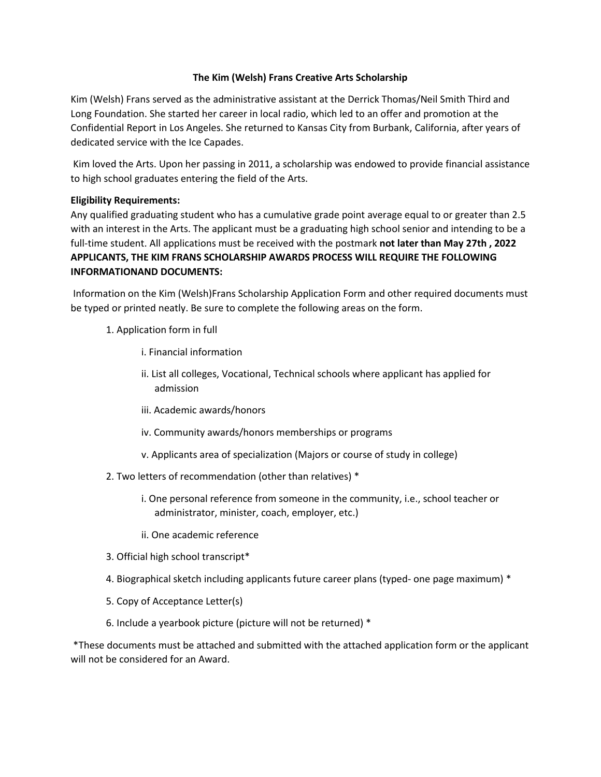## **The Kim (Welsh) Frans Creative Arts Scholarship**

Kim (Welsh) Frans served as the administrative assistant at the Derrick Thomas/Neil Smith Third and Long Foundation. She started her career in local radio, which led to an offer and promotion at the Confidential Report in Los Angeles. She returned to Kansas City from Burbank, California, after years of dedicated service with the Ice Capades.

Kim loved the Arts. Upon her passing in 2011, a scholarship was endowed to provide financial assistance to high school graduates entering the field of the Arts.

## **Eligibility Requirements:**

Any qualified graduating student who has a cumulative grade point average equal to or greater than 2.5 with an interest in the Arts. The applicant must be a graduating high school senior and intending to be a full-time student. All applications must be received with the postmark **not later than May 27th , 2022 APPLICANTS, THE KIM FRANS SCHOLARSHIP AWARDS PROCESS WILL REQUIRE THE FOLLOWING INFORMATIONAND DOCUMENTS:**

Information on the Kim (Welsh)Frans Scholarship Application Form and other required documents must be typed or printed neatly. Be sure to complete the following areas on the form.

- 1. Application form in full
	- i. Financial information
	- ii. List all colleges, Vocational, Technical schools where applicant has applied for admission
	- iii. Academic awards/honors
	- iv. Community awards/honors memberships or programs
	- v. Applicants area of specialization (Majors or course of study in college)
- 2. Two letters of recommendation (other than relatives) \*
	- i. One personal reference from someone in the community, i.e., school teacher or administrator, minister, coach, employer, etc.)
	- ii. One academic reference
- 3. Official high school transcript\*
- 4. Biographical sketch including applicants future career plans (typed- one page maximum) \*
- 5. Copy of Acceptance Letter(s)
- 6. Include a yearbook picture (picture will not be returned) \*

\*These documents must be attached and submitted with the attached application form or the applicant will not be considered for an Award.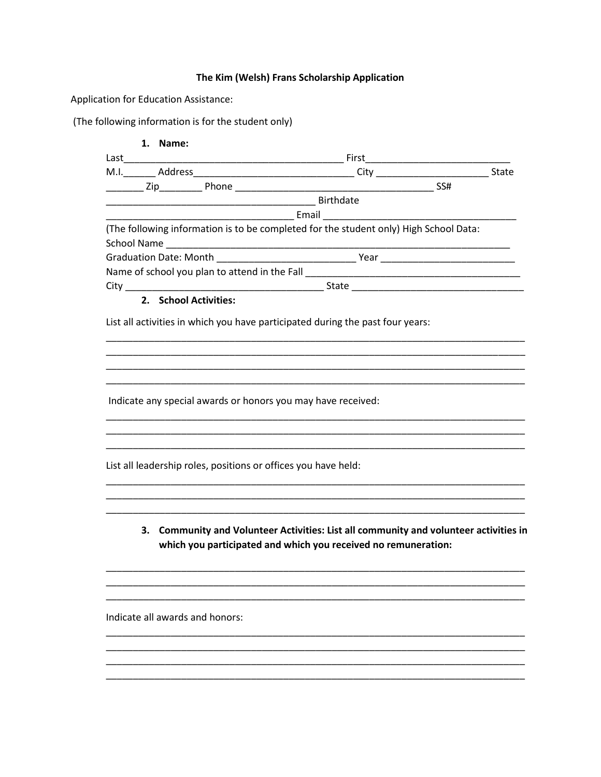## The Kim (Welsh) Frans Scholarship Application

Application for Education Assistance:

(The following information is for the student only)

| 1. Name:                                                       |                                                                                                                                                                                                                                |  |
|----------------------------------------------------------------|--------------------------------------------------------------------------------------------------------------------------------------------------------------------------------------------------------------------------------|--|
|                                                                |                                                                                                                                                                                                                                |  |
|                                                                |                                                                                                                                                                                                                                |  |
|                                                                | <b>Example 2</b> Birthdate                                                                                                                                                                                                     |  |
|                                                                |                                                                                                                                                                                                                                |  |
|                                                                | (The following information is to be completed for the student only) High School Data:                                                                                                                                          |  |
|                                                                |                                                                                                                                                                                                                                |  |
|                                                                | Name of school you plan to attend in the Fall [1941] [1942] [1942] [1942] [1942] [1942] [1942] [1942] [1942] [1942] [1942] [1942] [1942] [1942] [1942] [1942] [1942] [1942] [1942] [1942] [1942] [1942] [1942] [1942] [1942] [ |  |
|                                                                |                                                                                                                                                                                                                                |  |
| 2. School Activities:                                          |                                                                                                                                                                                                                                |  |
|                                                                | List all activities in which you have participated during the past four years:                                                                                                                                                 |  |
|                                                                |                                                                                                                                                                                                                                |  |
| Indicate any special awards or honors you may have received:   |                                                                                                                                                                                                                                |  |
|                                                                |                                                                                                                                                                                                                                |  |
| List all leadership roles, positions or offices you have held: |                                                                                                                                                                                                                                |  |
|                                                                | 3. Community and Volunteer Activities: List all community and volunteer activities in<br>which you participated and which you received no remuneration:                                                                        |  |
|                                                                |                                                                                                                                                                                                                                |  |
| Indicate all awards and honors:                                |                                                                                                                                                                                                                                |  |